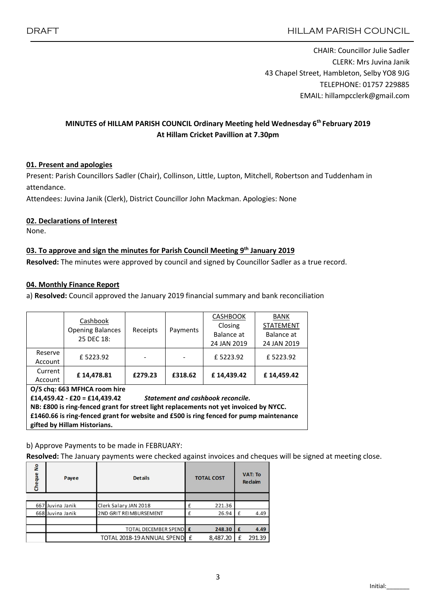CHAIR: Councillor Julie Sadler CLERK: Mrs Juvina Janik 43 Chapel Street, Hambleton, Selby YO8 9JG TELEPHONE: 01757 229885 EMAIL: hillampcclerk@gmail.com

# MINUTES of HILLAM PARISH COUNCIL Ordinary Meeting held Wednesday 6<sup>th</sup> February 2019 At Hillam Cricket Pavillion at 7.30pm

## 01. Present and apologies

Present: Parish Councillors Sadler (Chair), Collinson, Little, Lupton, Mitchell, Robertson and Tuddenham in attendance.

Attendees: Juvina Janik (Clerk), District Councillor John Mackman. Apologies: None

### 02. Declarations of Interest

None.

### 03. To approve and sign the minutes for Parish Council Meeting 9<sup>th</sup> January 2019

Resolved: The minutes were approved by council and signed by Councillor Sadler as a true record.

#### 04. Monthly Finance Report

a) Resolved: Council approved the January 2019 financial summary and bank reconciliation

|                              | Cashbook<br><b>Opening Balances</b><br>25 DEC 18: | Receipts | Payments | <b>CASHBOOK</b> | <b>BANK</b><br><b>STATEMENT</b> |  |  |  |  |
|------------------------------|---------------------------------------------------|----------|----------|-----------------|---------------------------------|--|--|--|--|
|                              |                                                   |          |          | Closing         |                                 |  |  |  |  |
|                              |                                                   |          |          | Balance at      | Balance at                      |  |  |  |  |
|                              |                                                   |          |          | 24 JAN 2019     | 24 JAN 2019                     |  |  |  |  |
| Reserve                      | £5223.92                                          |          |          | £5223.92        | £5223.92                        |  |  |  |  |
| Account                      |                                                   |          |          |                 |                                 |  |  |  |  |
| Current                      | £14.478.81                                        | £279.23  | £318.62  | £14.439.42      | £14.459.42                      |  |  |  |  |
| Account                      |                                                   |          |          |                 |                                 |  |  |  |  |
| O/S chai 662 MEUCA room biro |                                                   |          |          |                 |                                 |  |  |  |  |

O/S chq: 663 MFHCA room hire

£14,459.42 - £20 = £14,439.42 *Statement and cashbook reconcile.*

NB: £800 is ring-fenced grant for street light replacements not yet invoiced by NYCC.

£1460.66 is ring-fenced grant for website and £500 is ring fenced for pump maintenance gifted by Hillam Historians.

#### b) Approve Payments to be made in FEBRUARY:

Resolved: The January payments were checked against invoices and cheques will be signed at meeting close.

| ž<br>Cheque | Payee            | <b>Details</b>               | <b>TOTAL COST</b> |          | <b>VAT: To</b><br><b>Reclaim</b> |        |
|-------------|------------------|------------------------------|-------------------|----------|----------------------------------|--------|
|             |                  |                              |                   |          |                                  |        |
|             | 667 Juvina Janik | Clerk Salary JAN 2018        |                   | 221.36   |                                  |        |
|             | 668 Juvina Janik | 2ND GRIT REIMBURSEMENT       |                   | 26.94    | $\mathbf{f}$                     | 4.49   |
|             |                  |                              |                   |          |                                  |        |
|             |                  | TOTAL DECEMBER SPENDE        |                   | 248.30   | £                                | 4.49   |
|             |                  | TOTAL 2018-19 ANNUAL SPEND E |                   | 8,487.20 |                                  | 291.39 |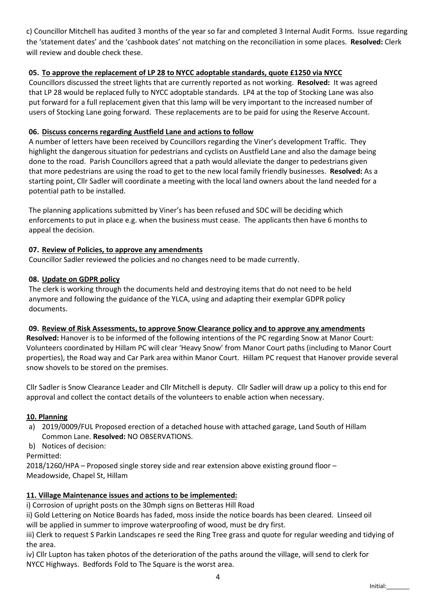c) Councillor Mitchell has audited 3 months of the year so far and completed 3 Internal Audit Forms. Issue regarding the 'statement dates' and the 'cashbook dates' not matching on the reconciliation in some places. Resolved: Clerk will review and double check these.

## 05. To approve the replacement of LP 28 to NYCC adoptable standards, quote £1250 via NYCC

Councillors discussed the street lights that are currently reported as not working. Resolved: It was agreed that LP 28 would be replaced fully to NYCC adoptable standards. LP4 at the top of Stocking Lane was also put forward for a full replacement given that this lamp will be very important to the increased number of users of Stocking Lane going forward. These replacements are to be paid for using the Reserve Account.

### 06. Discuss concerns regarding Austfield Lane and actions to follow

A number of letters have been received by Councillors regarding the Viner's development Traffic. They highlight the dangerous situation for pedestrians and cyclists on Austfield Lane and also the damage being done to the road. Parish Councillors agreed that a path would alleviate the danger to pedestrians given that more pedestrians are using the road to get to the new local family friendly businesses. Resolved: As a starting point, Cllr Sadler will coordinate a meeting with the local land owners about the land needed for a potential path to be installed.

The planning applications submitted by Viner's has been refused and SDC will be deciding which enforcements to put in place e.g. when the business must cease. The applicants then have 6 months to appeal the decision.

### 07. Review of Policies, to approve any amendments

Councillor Sadler reviewed the policies and no changes need to be made currently.

### 08. Update on GDPR policy

The clerk is working through the documents held and destroying items that do not need to be held anymore and following the guidance of the YLCA, using and adapting their exemplar GDPR policy documents.

## 09. Review of Risk Assessments, to approve Snow Clearance policy and to approve any amendments

Resolved: Hanover is to be informed of the following intentions of the PC regarding Snow at Manor Court: Volunteers coordinated by Hillam PC will clear 'Heavy Snow' from Manor Court paths (including to Manor Court properties), the Road way and Car Park area within Manor Court. Hillam PC request that Hanover provide several snow shovels to be stored on the premises.

Cllr Sadler is Snow Clearance Leader and Cllr Mitchell is deputy. Cllr Sadler will draw up a policy to this end for approval and collect the contact details of the volunteers to enable action when necessary.

#### 10. Planning

- a) 2019/0009/FUL Proposed erection of a detached house with attached garage, Land South of Hillam Common Lane. Resolved: NO OBSERVATIONS.
- b) Notices of decision:

Permitted:

2018/1260/HPA – Proposed single storey side and rear extension above existing ground floor – Meadowside, Chapel St, Hillam

## 11. Village Maintenance issues and actions to be implemented:

i) Corrosion of upright posts on the 30mph signs on Betteras Hill Road

ii) Gold Lettering on Notice Boards has faded, moss inside the notice boards has been cleared. Linseed oil will be applied in summer to improve waterproofing of wood, must be dry first.

iii) Clerk to request S Parkin Landscapes re seed the Ring Tree grass and quote for regular weeding and tidying of the area.

iv) Cllr Lupton has taken photos of the deterioration of the paths around the village, will send to clerk for NYCC Highways. Bedfords Fold to The Square is the worst area.